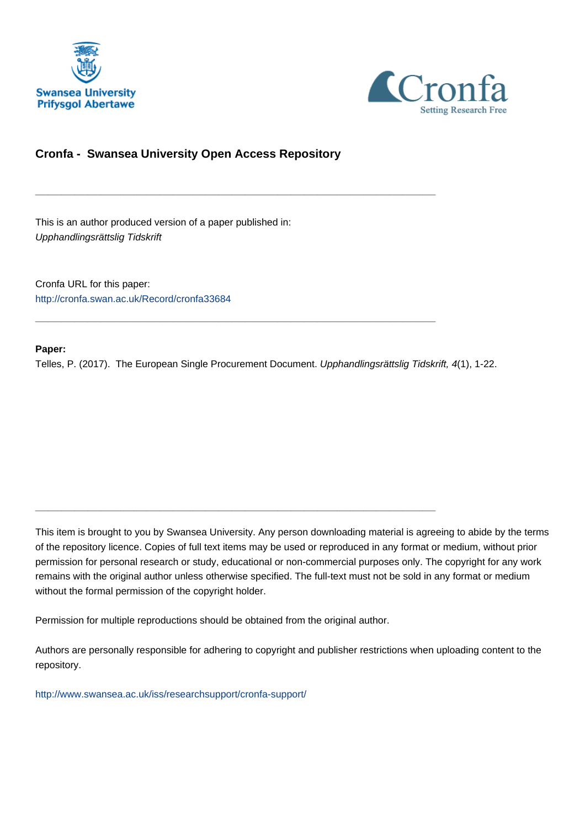



## **Cronfa - Swansea University Open Access Repository**

\_\_\_\_\_\_\_\_\_\_\_\_\_\_\_\_\_\_\_\_\_\_\_\_\_\_\_\_\_\_\_\_\_\_\_\_\_\_\_\_\_\_\_\_\_\_\_\_\_\_\_\_\_\_\_\_\_\_\_\_\_

\_\_\_\_\_\_\_\_\_\_\_\_\_\_\_\_\_\_\_\_\_\_\_\_\_\_\_\_\_\_\_\_\_\_\_\_\_\_\_\_\_\_\_\_\_\_\_\_\_\_\_\_\_\_\_\_\_\_\_\_\_

 $\_$  , and the set of the set of the set of the set of the set of the set of the set of the set of the set of the set of the set of the set of the set of the set of the set of the set of the set of the set of the set of th

This is an author produced version of a paper published in: Upphandlingsrättslig Tidskrift

Cronfa URL for this paper: <http://cronfa.swan.ac.uk/Record/cronfa33684>

#### **Paper:**

Telles, P. (2017). The European Single Procurement Document. Upphandlingsrättslig Tidskrift, 4(1), 1-22.

This item is brought to you by Swansea University. Any person downloading material is agreeing to abide by the terms of the repository licence. Copies of full text items may be used or reproduced in any format or medium, without prior permission for personal research or study, educational or non-commercial purposes only. The copyright for any work remains with the original author unless otherwise specified. The full-text must not be sold in any format or medium without the formal permission of the copyright holder.

Permission for multiple reproductions should be obtained from the original author.

Authors are personally responsible for adhering to copyright and publisher restrictions when uploading content to the repository.

[http://www.swansea.ac.uk/iss/researchsupport/cronfa-support/](http://www.swansea.ac.uk/iss/researchsupport/cronfa-support/ )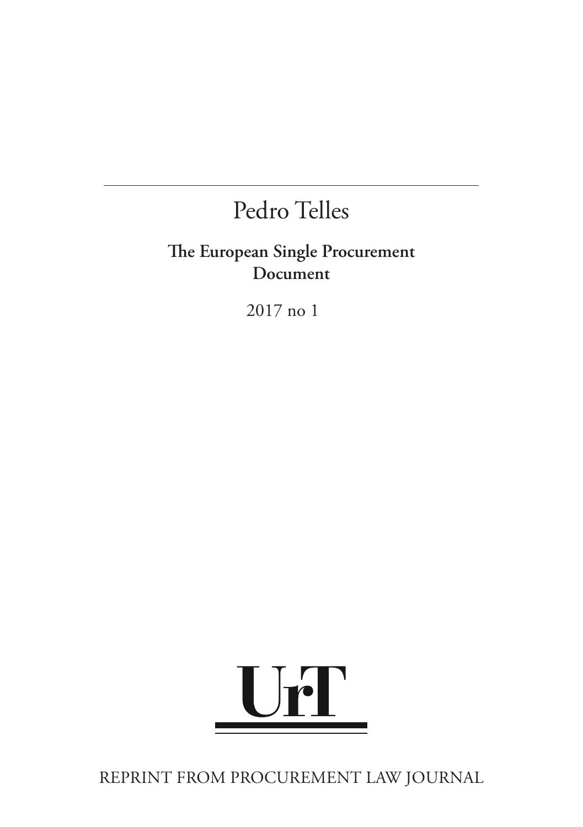# Pedro Telles

## **The European Single Procurement Document**

2017 no 1



REPRINT FROM PROCUREMENT LAW JOURNAL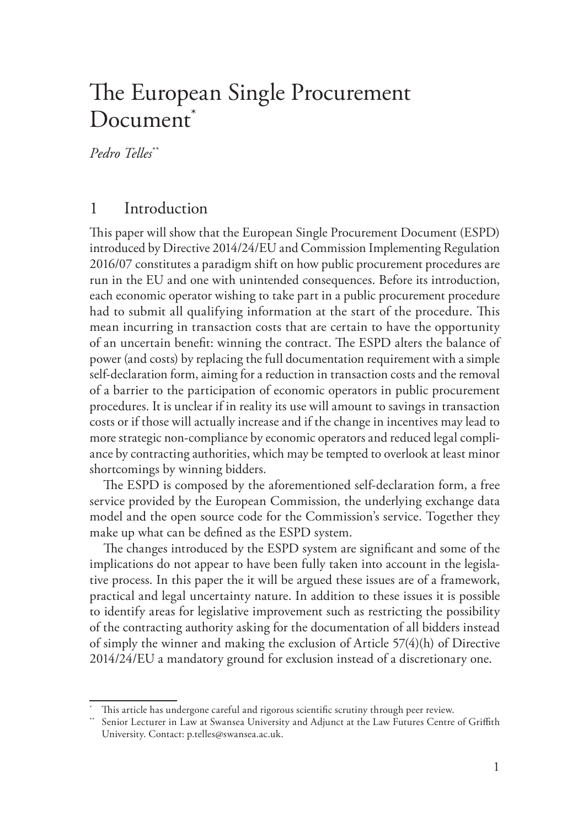## The European Single Procurement Document<sup>\*</sup>

*Pedro Telles*\*\*

## 1 Introduction

This paper will show that the European Single Procurement Document (ESPD) introduced by Directive 2014/24/EU and Commission Implementing Regulation 2016/07 constitutes a paradigm shift on how public procurement procedures are run in the EU and one with unintended consequences. Before its introduction, each economic operator wishing to take part in a public procurement procedure had to submit all qualifying information at the start of the procedure. This mean incurring in transaction costs that are certain to have the opportunity of an uncertain benefit: winning the contract. The ESPD alters the balance of power (and costs) by replacing the full documentation requirement with a simple self-declaration form, aiming for a reduction in transaction costs and the removal of a barrier to the participation of economic operators in public procurement procedures. It is unclear if in reality its use will amount to savings in transaction costs or if those will actually increase and if the change in incentives may lead to more strategic non-compliance by economic operators and reduced legal compliance by contracting authorities, which may be tempted to overlook at least minor shortcomings by winning bidders.

The ESPD is composed by the aforementioned self-declaration form, a free service provided by the European Commission, the underlying exchange data model and the open source code for the Commission's service. Together they make up what can be defined as the ESPD system.

The changes introduced by the ESPD system are significant and some of the implications do not appear to have been fully taken into account in the legislative process. In this paper the it will be argued these issues are of a framework, practical and legal uncertainty nature. In addition to these issues it is possible to identify areas for legislative improvement such as restricting the possibility of the contracting authority asking for the documentation of all bidders instead of simply the winner and making the exclusion of Article 57(4)(h) of Directive 2014/24/EU a mandatory ground for exclusion instead of a discretionary one.

This article has undergone careful and rigorous scientific scrutiny through peer review.

<sup>\*\*</sup> Senior Lecturer in Law at Swansea University and Adjunct at the Law Futures Centre of Griffith University. Contact: p.telles@swansea.ac.uk.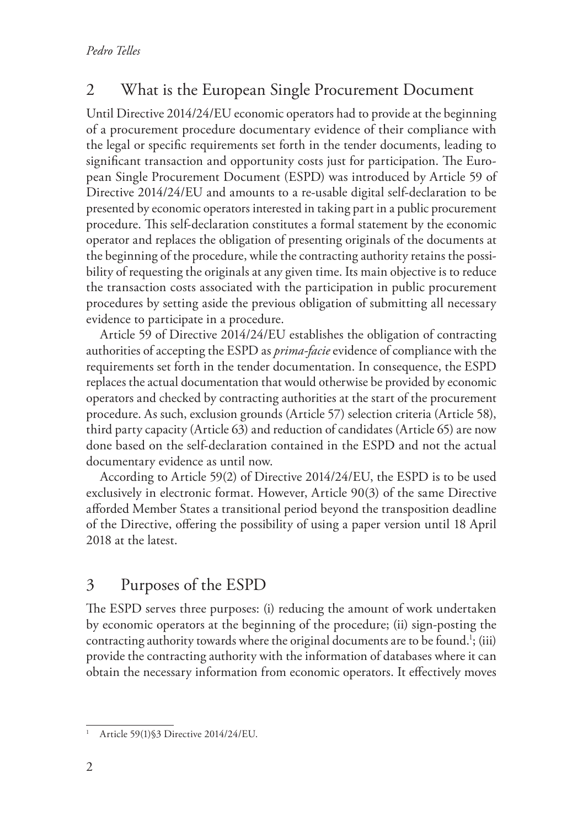## 2 What is the European Single Procurement Document

Until Directive 2014/24/EU economic operators had to provide at the beginning of a procurement procedure documentary evidence of their compliance with the legal or specific requirements set forth in the tender documents, leading to significant transaction and opportunity costs just for participation. The European Single Procurement Document (ESPD) was introduced by Article 59 of Directive 2014/24/EU and amounts to a re-usable digital self-declaration to be presented by economic operators interested in taking part in a public procurement procedure. This self-declaration constitutes a formal statement by the economic operator and replaces the obligation of presenting originals of the documents at the beginning of the procedure, while the contracting authority retains the possibility of requesting the originals at any given time. Its main objective is to reduce the transaction costs associated with the participation in public procurement procedures by setting aside the previous obligation of submitting all necessary evidence to participate in a procedure.

Article 59 of Directive 2014/24/EU establishes the obligation of contracting authorities of accepting the ESPD as *prima-facie* evidence of compliance with the requirements set forth in the tender documentation. In consequence, the ESPD replaces the actual documentation that would otherwise be provided by economic operators and checked by contracting authorities at the start of the procurement procedure. As such, exclusion grounds (Article 57) selection criteria (Article 58), third party capacity (Article 63) and reduction of candidates (Article 65) are now done based on the self-declaration contained in the ESPD and not the actual documentary evidence as until now.

According to Article 59(2) of Directive 2014/24/EU, the ESPD is to be used exclusively in electronic format. However, Article 90(3) of the same Directive afforded Member States a transitional period beyond the transposition deadline of the Directive, offering the possibility of using a paper version until 18 April 2018 at the latest.

## 3 Purposes of the ESPD

The ESPD serves three purposes: (i) reducing the amount of work undertaken by economic operators at the beginning of the procedure; (ii) sign-posting the contracting authority towards where the original documents are to be found.<sup>1</sup>; (iii) provide the contracting authority with the information of databases where it can obtain the necessary information from economic operators. It effectively moves

<sup>1</sup> Article 59(1)§3 Directive 2014/24/EU.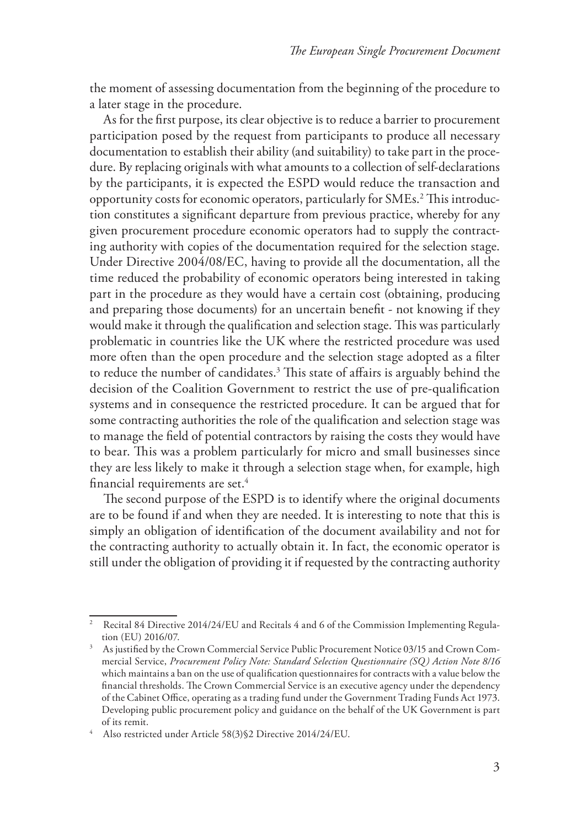the moment of assessing documentation from the beginning of the procedure to a later stage in the procedure.

As for the first purpose, its clear objective is to reduce a barrier to procurement participation posed by the request from participants to produce all necessary documentation to establish their ability (and suitability) to take part in the procedure. By replacing originals with what amounts to a collection of self-declarations by the participants, it is expected the ESPD would reduce the transaction and opportunity costs for economic operators, particularly for SMEs.<sup>2</sup> This introduction constitutes a significant departure from previous practice, whereby for any given procurement procedure economic operators had to supply the contracting authority with copies of the documentation required for the selection stage. Under Directive 2004/08/EC, having to provide all the documentation, all the time reduced the probability of economic operators being interested in taking part in the procedure as they would have a certain cost (obtaining, producing and preparing those documents) for an uncertain benefit - not knowing if they would make it through the qualification and selection stage. This was particularly problematic in countries like the UK where the restricted procedure was used more often than the open procedure and the selection stage adopted as a filter to reduce the number of candidates.3 This state of affairs is arguably behind the decision of the Coalition Government to restrict the use of pre-qualification systems and in consequence the restricted procedure. It can be argued that for some contracting authorities the role of the qualification and selection stage was to manage the field of potential contractors by raising the costs they would have to bear. This was a problem particularly for micro and small businesses since they are less likely to make it through a selection stage when, for example, high financial requirements are set. $4$ 

The second purpose of the ESPD is to identify where the original documents are to be found if and when they are needed. It is interesting to note that this is simply an obligation of identification of the document availability and not for the contracting authority to actually obtain it. In fact, the economic operator is still under the obligation of providing it if requested by the contracting authority

<sup>2</sup> Recital 84 Directive 2014/24/EU and Recitals 4 and 6 of the Commission Implementing Regulation (EU) 2016/07.

<sup>&</sup>lt;sup>3</sup> As justified by the Crown Commercial Service Public Procurement Notice 03/15 and Crown Commercial Service, *Procurement Policy Note: Standard Selection Questionnaire (SQ) Action Note 8/16* which maintains a ban on the use of qualification questionnaires for contracts with a value below the financial thresholds. The Crown Commercial Service is an executive agency under the dependency of the Cabinet Office, operating as a trading fund under the Government Trading Funds Act 1973. Developing public procurement policy and guidance on the behalf of the UK Government is part of its remit. 4 Also restricted under Article 58(3)§2 Directive 2014/24/EU.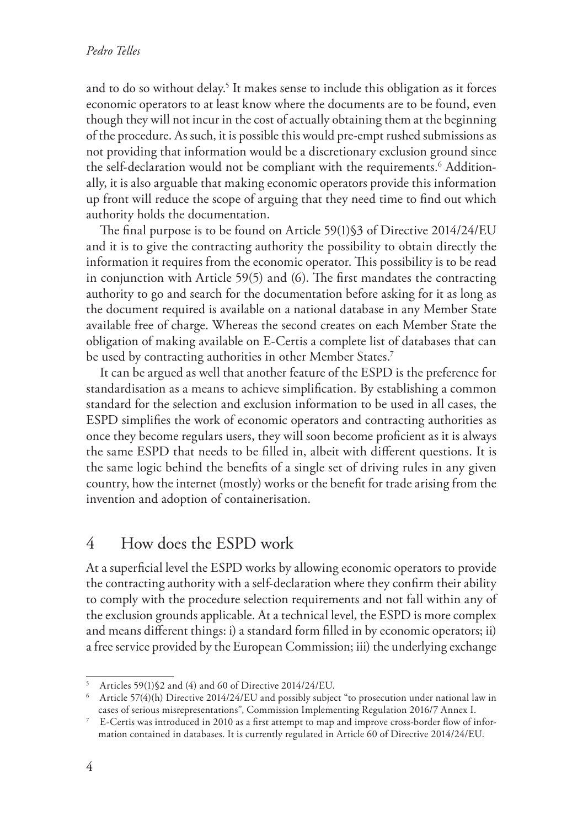#### *Pedro Telles*

and to do so without delay.<sup>5</sup> It makes sense to include this obligation as it forces economic operators to at least know where the documents are to be found, even though they will not incur in the cost of actually obtaining them at the beginning of the procedure. As such, it is possible this would pre-empt rushed submissions as not providing that information would be a discretionary exclusion ground since the self-declaration would not be compliant with the requirements.<sup>6</sup> Additionally, it is also arguable that making economic operators provide this information up front will reduce the scope of arguing that they need time to find out which authority holds the documentation.

The final purpose is to be found on Article 59(1)§3 of Directive 2014/24/EU and it is to give the contracting authority the possibility to obtain directly the information it requires from the economic operator. This possibility is to be read in conjunction with Article 59(5) and (6). The first mandates the contracting authority to go and search for the documentation before asking for it as long as the document required is available on a national database in any Member State available free of charge. Whereas the second creates on each Member State the obligation of making available on E-Certis a complete list of databases that can be used by contracting authorities in other Member States.<sup>7</sup>

It can be argued as well that another feature of the ESPD is the preference for standardisation as a means to achieve simplification. By establishing a common standard for the selection and exclusion information to be used in all cases, the ESPD simplifies the work of economic operators and contracting authorities as once they become regulars users, they will soon become proficient as it is always the same ESPD that needs to be filled in, albeit with different questions. It is the same logic behind the benefits of a single set of driving rules in any given country, how the internet (mostly) works or the benefit for trade arising from the invention and adoption of containerisation.

#### 4 How does the ESPD work

At a superficial level the ESPD works by allowing economic operators to provide the contracting authority with a self-declaration where they confirm their ability to comply with the procedure selection requirements and not fall within any of the exclusion grounds applicable. At a technical level, the ESPD is more complex and means different things: i) a standard form filled in by economic operators; ii) a free service provided by the European Commission; iii) the underlying exchange

<sup>5</sup> Articles 59(1)§2 and (4) and 60 of Directive 2014/24/EU.

<sup>6</sup> Article 57(4)(h) Directive 2014/24/EU and possibly subject "to prosecution under national law in cases of serious misrepresentations", Commission Implementing Regulation 2016/7 Annex I.

<sup>7</sup> E-Certis was introduced in 2010 as a first attempt to map and improve cross-border flow of information contained in databases. It is currently regulated in Article 60 of Directive 2014/24/EU.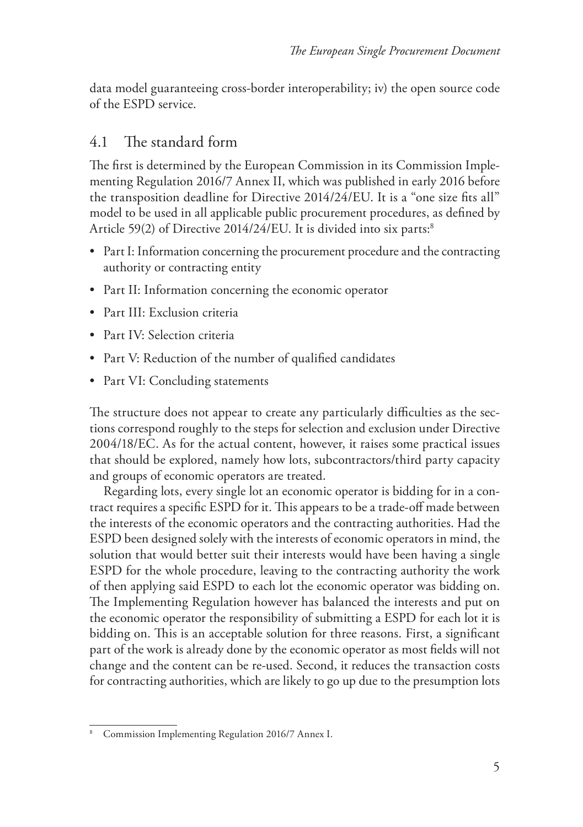data model guaranteeing cross-border interoperability; iv) the open source code of the ESPD service.

### 4.1 The standard form

The first is determined by the European Commission in its Commission Implementing Regulation 2016/7 Annex II, which was published in early 2016 before the transposition deadline for Directive 2014/24/EU. It is a "one size fits all" model to be used in all applicable public procurement procedures, as defined by Article 59(2) of Directive 2014/24/EU. It is divided into six parts:<sup>8</sup>

- Part I: Information concerning the procurement procedure and the contracting authority or contracting entity
- Part II: Information concerning the economic operator
- Part III: Exclusion criteria
- Part IV: Selection criteria
- Part V: Reduction of the number of qualified candidates
- Part VI: Concluding statements

The structure does not appear to create any particularly difficulties as the sections correspond roughly to the steps for selection and exclusion under Directive 2004/18/EC. As for the actual content, however, it raises some practical issues that should be explored, namely how lots, subcontractors/third party capacity and groups of economic operators are treated.

Regarding lots, every single lot an economic operator is bidding for in a contract requires a specific ESPD for it. This appears to be a trade-off made between the interests of the economic operators and the contracting authorities. Had the ESPD been designed solely with the interests of economic operators in mind, the solution that would better suit their interests would have been having a single ESPD for the whole procedure, leaving to the contracting authority the work of then applying said ESPD to each lot the economic operator was bidding on. The Implementing Regulation however has balanced the interests and put on the economic operator the responsibility of submitting a ESPD for each lot it is bidding on. This is an acceptable solution for three reasons. First, a significant part of the work is already done by the economic operator as most fields will not change and the content can be re-used. Second, it reduces the transaction costs for contracting authorities, which are likely to go up due to the presumption lots

Commission Implementing Regulation 2016/7 Annex I.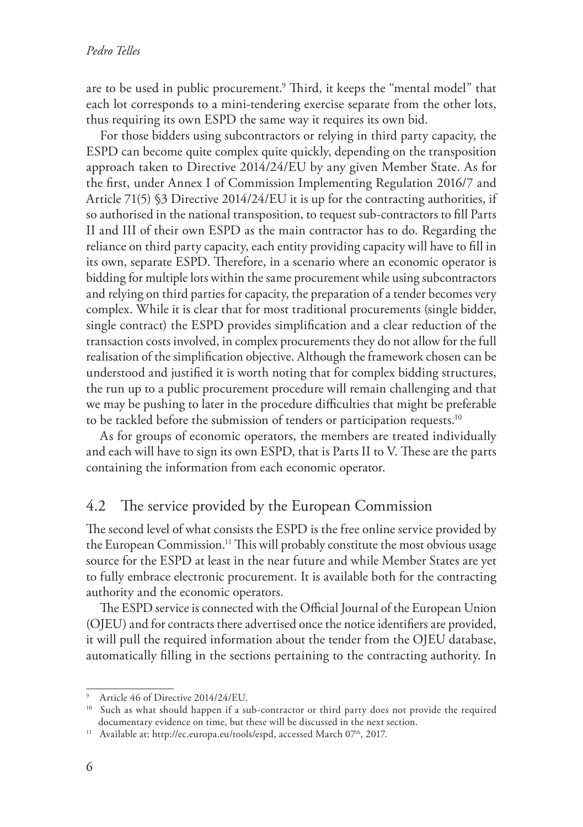are to be used in public procurement.9 Third, it keeps the "mental model" that each lot corresponds to a mini-tendering exercise separate from the other lots, thus requiring its own ESPD the same way it requires its own bid.

For those bidders using subcontractors or relying in third party capacity, the ESPD can become quite complex quite quickly, depending on the transposition approach taken to Directive 2014/24/EU by any given Member State. As for the first, under Annex I of Commission Implementing Regulation 2016/7 and Article 71(5) §3 Directive 2014/24/EU it is up for the contracting authorities, if so authorised in the national transposition, to request sub-contractors to fill Parts II and III of their own ESPD as the main contractor has to do. Regarding the reliance on third party capacity, each entity providing capacity will have to fill in its own, separate ESPD. Therefore, in a scenario where an economic operator is bidding for multiple lots within the same procurement while using subcontractors and relying on third parties for capacity, the preparation of a tender becomes very complex. While it is clear that for most traditional procurements (single bidder, single contract) the ESPD provides simplification and a clear reduction of the transaction costs involved, in complex procurements they do not allow for the full realisation of the simplification objective. Although the framework chosen can be understood and justified it is worth noting that for complex bidding structures, the run up to a public procurement procedure will remain challenging and that we may be pushing to later in the procedure difficulties that might be preferable to be tackled before the submission of tenders or participation requests.<sup>10</sup>

As for groups of economic operators, the members are treated individually and each will have to sign its own ESPD, that is Parts II to V. These are the parts containing the information from each economic operator.

#### 4.2 The service provided by the European Commission

The second level of what consists the ESPD is the free online service provided by the European Commission.<sup>11</sup> This will probably constitute the most obvious usage source for the ESPD at least in the near future and while Member States are yet to fully embrace electronic procurement. It is available both for the contracting authority and the economic operators.

The ESPD service is connected with the Official Journal of the European Union (OJEU) and for contracts there advertised once the notice identifiers are provided, it will pull the required information about the tender from the OJEU database, automatically filling in the sections pertaining to the contracting authority. In

<sup>9</sup> Article 46 of Directive 2014/24/EU.

<sup>&</sup>lt;sup>10</sup> Such as what should happen if a sub-contractor or third party does not provide the required documentary evidence on time, but these will be discussed in the next section.

<sup>&</sup>lt;sup>11</sup> Available at: http://ec.europa.eu/tools/espd, accessed March 07<sup>th</sup>, 2017.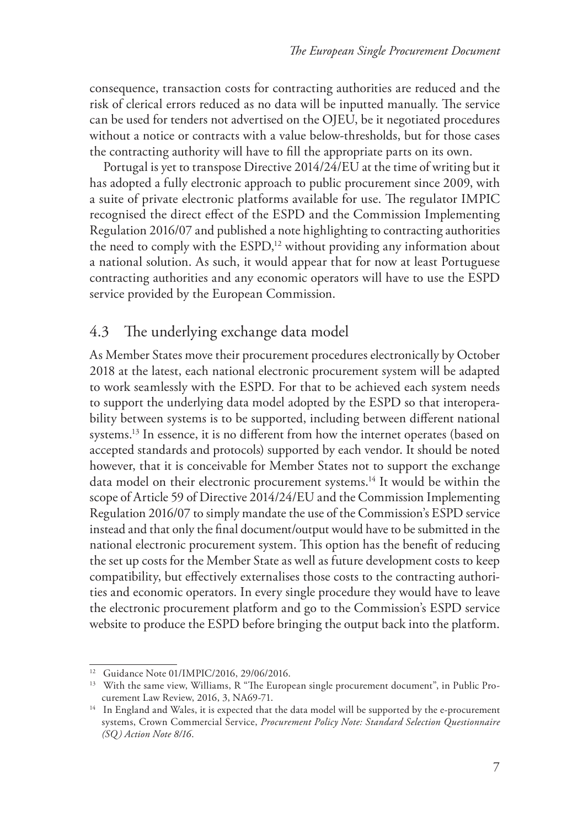consequence, transaction costs for contracting authorities are reduced and the risk of clerical errors reduced as no data will be inputted manually. The service can be used for tenders not advertised on the OJEU, be it negotiated procedures without a notice or contracts with a value below-thresholds, but for those cases the contracting authority will have to fill the appropriate parts on its own.

Portugal is yet to transpose Directive 2014/24/EU at the time of writing but it has adopted a fully electronic approach to public procurement since 2009, with a suite of private electronic platforms available for use. The regulator IMPIC recognised the direct effect of the ESPD and the Commission Implementing Regulation 2016/07 and published a note highlighting to contracting authorities the need to comply with the  $ESPD<sub>12</sub>$  without providing any information about a national solution. As such, it would appear that for now at least Portuguese contracting authorities and any economic operators will have to use the ESPD service provided by the European Commission.

### 4.3 The underlying exchange data model

As Member States move their procurement procedures electronically by October 2018 at the latest, each national electronic procurement system will be adapted to work seamlessly with the ESPD. For that to be achieved each system needs to support the underlying data model adopted by the ESPD so that interoperability between systems is to be supported, including between different national systems.<sup>13</sup> In essence, it is no different from how the internet operates (based on accepted standards and protocols) supported by each vendor. It should be noted however, that it is conceivable for Member States not to support the exchange data model on their electronic procurement systems.<sup>14</sup> It would be within the scope of Article 59 of Directive 2014/24/EU and the Commission Implementing Regulation 2016/07 to simply mandate the use of the Commission's ESPD service instead and that only the final document/output would have to be submitted in the national electronic procurement system. This option has the benefit of reducing the set up costs for the Member State as well as future development costs to keep compatibility, but effectively externalises those costs to the contracting authorities and economic operators. In every single procedure they would have to leave the electronic procurement platform and go to the Commission's ESPD service website to produce the ESPD before bringing the output back into the platform.

<sup>&</sup>lt;sup>12</sup> Guidance Note 01/IMPIC/2016, 29/06/2016.

<sup>&</sup>lt;sup>13</sup> With the same view, Williams, R "The European single procurement document", in Public Procurement Law Review, 2016, 3, NA69-71.

<sup>&</sup>lt;sup>14</sup> In England and Wales, it is expected that the data model will be supported by the e-procurement systems, Crown Commercial Service, *Procurement Policy Note: Standard Selection Questionnaire (SQ) Action Note 8/16*.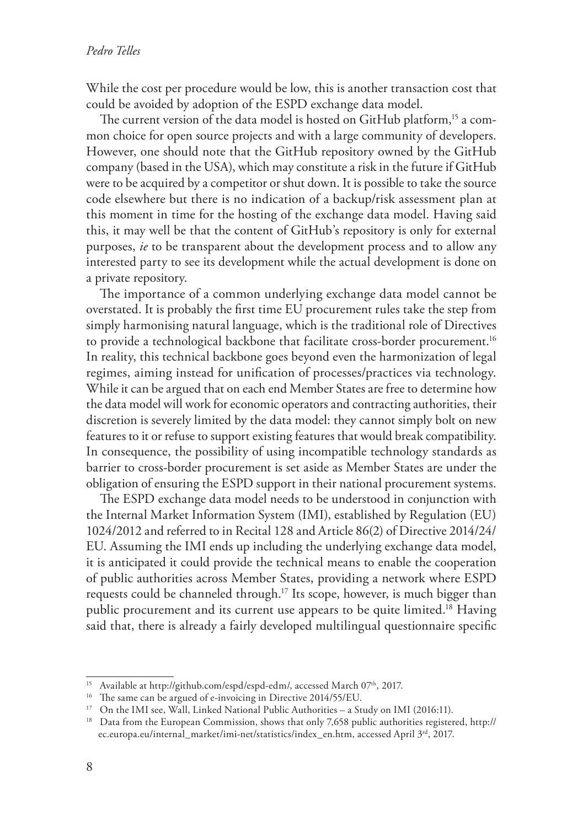While the cost per procedure would be low, this is another transaction cost that could be avoided by adoption of the ESPD exchange data model.

The current version of the data model is hosted on GitHub platform,<sup>15</sup> a common choice for open source projects and with a large community of developers. However, one should note that the GitHub repository owned by the GitHub company (based in the USA), which may constitute a risk in the future if GitHub were to be acquired by a competitor or shut down. It is possible to take the source code elsewhere but there is no indication of a backup/risk assessment plan at this moment in time for the hosting of the exchange data model. Having said this, it may well be that the content of GitHub's repository is only for external purposes, *ie* to be transparent about the development process and to allow any interested party to see its development while the actual development is done on a private repository.

The importance of a common underlying exchange data model cannot be overstated. It is probably the first time EU procurement rules take the step from simply harmonising natural language, which is the traditional role of Directives to provide a technological backbone that facilitate cross-border procurement.<sup>16</sup> In reality, this technical backbone goes beyond even the harmonization of legal regimes, aiming instead for unification of processes/practices via technology. While it can be argued that on each end Member States are free to determine how the data model will work for economic operators and contracting authorities, their discretion is severely limited by the data model: they cannot simply bolt on new features to it or refuse to support existing features that would break compatibility. In consequence, the possibility of using incompatible technology standards as barrier to cross-border procurement is set aside as Member States are under the obligation of ensuring the ESPD support in their national procurement systems.

The ESPD exchange data model needs to be understood in conjunction with the Internal Market Information System (IMI), established by Regulation (EU) 1024/2012 and referred to in Recital 128 and Article 86(2) of Directive 2014/24/ EU. Assuming the IMI ends up including the underlying exchange data model, it is anticipated it could provide the technical means to enable the cooperation of public authorities across Member States, providing a network where ESPD requests could be channeled through.<sup>17</sup> Its scope, however, is much bigger than public procurement and its current use appears to be quite limited.18 Having said that, there is already a fairly developed multilingual questionnaire specific

<sup>&</sup>lt;sup>15</sup> Available at http://github.com/espd/espd-edm/, accessed March 07<sup>th</sup>, 2017.

<sup>&</sup>lt;sup>16</sup> The same can be argued of e-invoicing in Directive 2014/55/EU.

<sup>&</sup>lt;sup>17</sup> On the IMI see, Wall, Linked National Public Authorities – a Study on IMI (2016:11).

<sup>&</sup>lt;sup>18</sup> Data from the European Commission, shows that only 7,658 public authorities registered, http:// ec.europa.eu/internal\_market/imi-net/statistics/index\_en.htm, accessed April 3rd, 2017.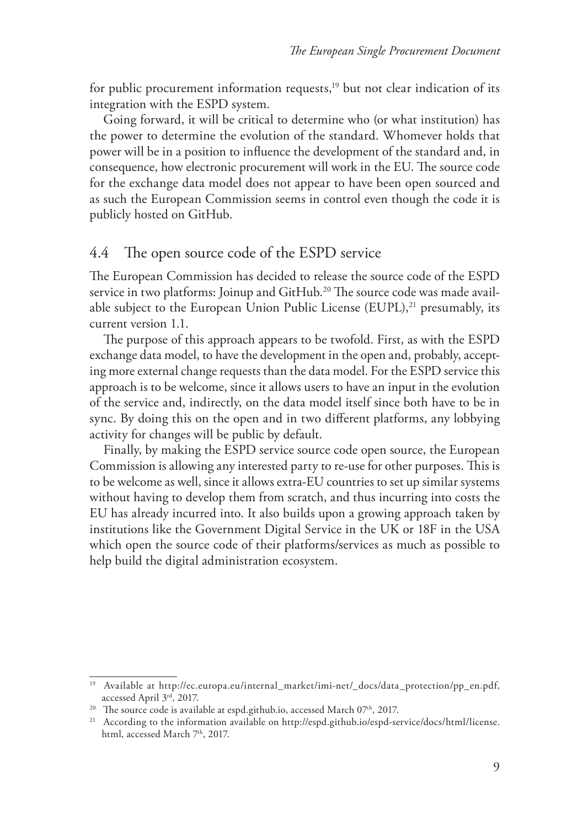for public procurement information requests, $19$  but not clear indication of its integration with the ESPD system.

Going forward, it will be critical to determine who (or what institution) has the power to determine the evolution of the standard. Whomever holds that power will be in a position to influence the development of the standard and, in consequence, how electronic procurement will work in the EU. The source code for the exchange data model does not appear to have been open sourced and as such the European Commission seems in control even though the code it is publicly hosted on GitHub.

### 4.4 The open source code of the ESPD service

The European Commission has decided to release the source code of the ESPD service in two platforms: Joinup and GitHub.<sup>20</sup> The source code was made available subject to the European Union Public License (EUPL),<sup>21</sup> presumably, its current version 1.1.

The purpose of this approach appears to be twofold. First, as with the ESPD exchange data model, to have the development in the open and, probably, accepting more external change requests than the data model. For the ESPD service this approach is to be welcome, since it allows users to have an input in the evolution of the service and, indirectly, on the data model itself since both have to be in sync. By doing this on the open and in two different platforms, any lobbying activity for changes will be public by default.

Finally, by making the ESPD service source code open source, the European Commission is allowing any interested party to re-use for other purposes. This is to be welcome as well, since it allows extra-EU countries to set up similar systems without having to develop them from scratch, and thus incurring into costs the EU has already incurred into. It also builds upon a growing approach taken by institutions like the Government Digital Service in the UK or 18F in the USA which open the source code of their platforms/services as much as possible to help build the digital administration ecosystem.

<sup>&</sup>lt;sup>19</sup> Available at http://ec.europa.eu/internal\_market/imi-net/\_docs/data\_protection/pp\_en.pdf, accessed April 3rd, 2017.

<sup>&</sup>lt;sup>20</sup> The source code is available at espd.github.io, accessed March 07<sup>th</sup>, 2017.

<sup>&</sup>lt;sup>21</sup> According to the information available on http://espd.github.io/espd-service/docs/html/license. html, accessed March 7<sup>th</sup>, 2017.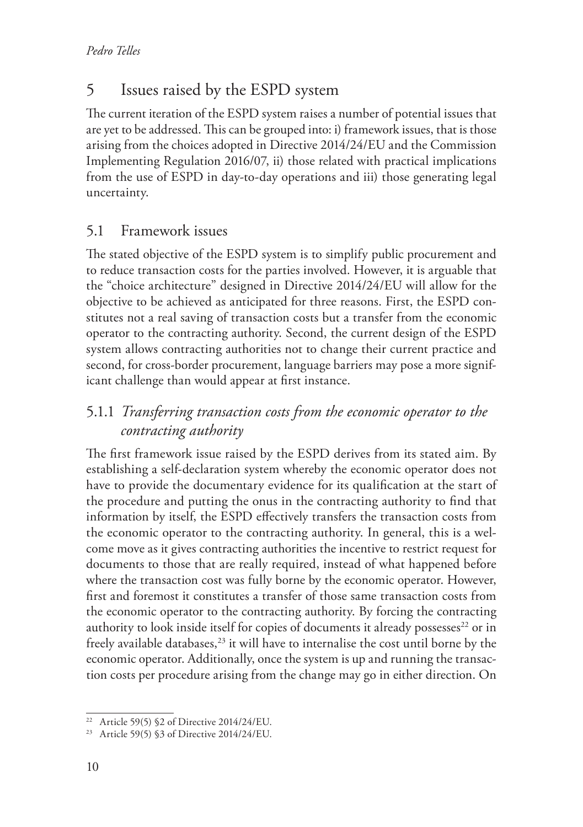## 5 Issues raised by the ESPD system

The current iteration of the ESPD system raises a number of potential issues that are yet to be addressed. This can be grouped into: i) framework issues, that is those arising from the choices adopted in Directive 2014/24/EU and the Commission Implementing Regulation 2016/07, ii) those related with practical implications from the use of ESPD in day-to-day operations and iii) those generating legal uncertainty.

## 5.1 Framework issues

The stated objective of the ESPD system is to simplify public procurement and to reduce transaction costs for the parties involved. However, it is arguable that the "choice architecture" designed in Directive 2014/24/EU will allow for the objective to be achieved as anticipated for three reasons. First, the ESPD constitutes not a real saving of transaction costs but a transfer from the economic operator to the contracting authority. Second, the current design of the ESPD system allows contracting authorities not to change their current practice and second, for cross-border procurement, language barriers may pose a more significant challenge than would appear at first instance.

## 5.1.1 *Transferring transaction costs from the economic operator to the contracting authority*

The first framework issue raised by the ESPD derives from its stated aim. By establishing a self-declaration system whereby the economic operator does not have to provide the documentary evidence for its qualification at the start of the procedure and putting the onus in the contracting authority to find that information by itself, the ESPD effectively transfers the transaction costs from the economic operator to the contracting authority. In general, this is a welcome move as it gives contracting authorities the incentive to restrict request for documents to those that are really required, instead of what happened before where the transaction cost was fully borne by the economic operator. However, first and foremost it constitutes a transfer of those same transaction costs from the economic operator to the contracting authority. By forcing the contracting authority to look inside itself for copies of documents it already possesses<sup>22</sup> or in freely available databases, $23$  it will have to internalise the cost until borne by the economic operator. Additionally, once the system is up and running the transaction costs per procedure arising from the change may go in either direction. On

<sup>&</sup>lt;sup>22</sup> Article 59(5)  $$2$  of Directive 2014/24/EU.

<sup>23</sup> Article 59(5) §3 of Directive 2014/24/EU.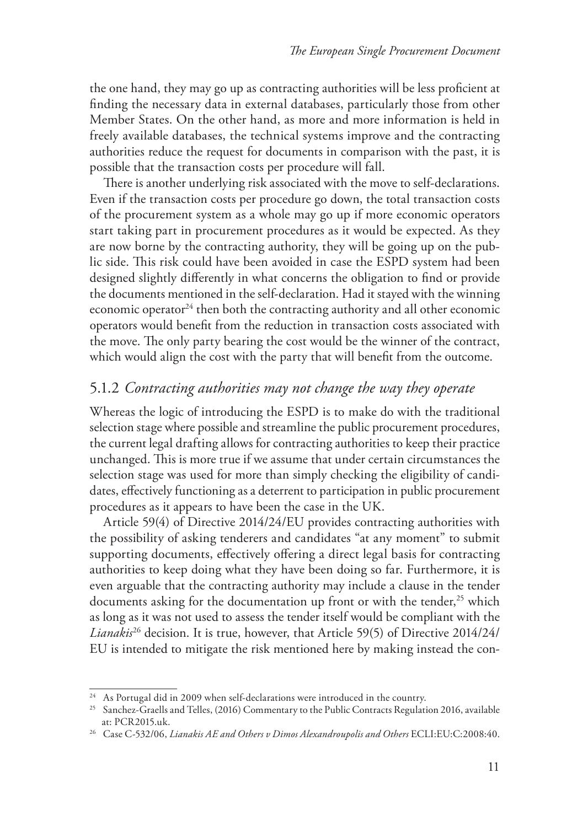the one hand, they may go up as contracting authorities will be less proficient at finding the necessary data in external databases, particularly those from other Member States. On the other hand, as more and more information is held in freely available databases, the technical systems improve and the contracting authorities reduce the request for documents in comparison with the past, it is possible that the transaction costs per procedure will fall.

There is another underlying risk associated with the move to self-declarations. Even if the transaction costs per procedure go down, the total transaction costs of the procurement system as a whole may go up if more economic operators start taking part in procurement procedures as it would be expected. As they are now borne by the contracting authority, they will be going up on the public side. This risk could have been avoided in case the ESPD system had been designed slightly differently in what concerns the obligation to find or provide the documents mentioned in the self-declaration. Had it stayed with the winning economic operator $24$  then both the contracting authority and all other economic operators would benefit from the reduction in transaction costs associated with the move. The only party bearing the cost would be the winner of the contract, which would align the cost with the party that will benefit from the outcome.

## 5.1.2 *Contracting authorities may not change the way they operate*

Whereas the logic of introducing the ESPD is to make do with the traditional selection stage where possible and streamline the public procurement procedures, the current legal drafting allows for contracting authorities to keep their practice unchanged. This is more true if we assume that under certain circumstances the selection stage was used for more than simply checking the eligibility of candidates, effectively functioning as a deterrent to participation in public procurement procedures as it appears to have been the case in the UK.

Article 59(4) of Directive 2014/24/EU provides contracting authorities with the possibility of asking tenderers and candidates "at any moment" to submit supporting documents, effectively offering a direct legal basis for contracting authorities to keep doing what they have been doing so far. Furthermore, it is even arguable that the contracting authority may include a clause in the tender documents asking for the documentation up front or with the tender,<sup>25</sup> which as long as it was not used to assess the tender itself would be compliant with the *Lianakis*26 decision. It is true, however, that Article 59(5) of Directive 2014/24/ EU is intended to mitigate the risk mentioned here by making instead the con-

 $^{24}\,$  As Portugal did in 2009 when self-declarations were introduced in the country.

<sup>&</sup>lt;sup>25</sup> Sanchez-Graells and Telles, (2016) Commentary to the Public Contracts Regulation 2016, available at: PCR2015.uk.

<sup>26</sup> Case C-532/06, *Lianakis AE and Others v Dimos Alexandroupolis and Others* ECLI:EU:C:2008:40.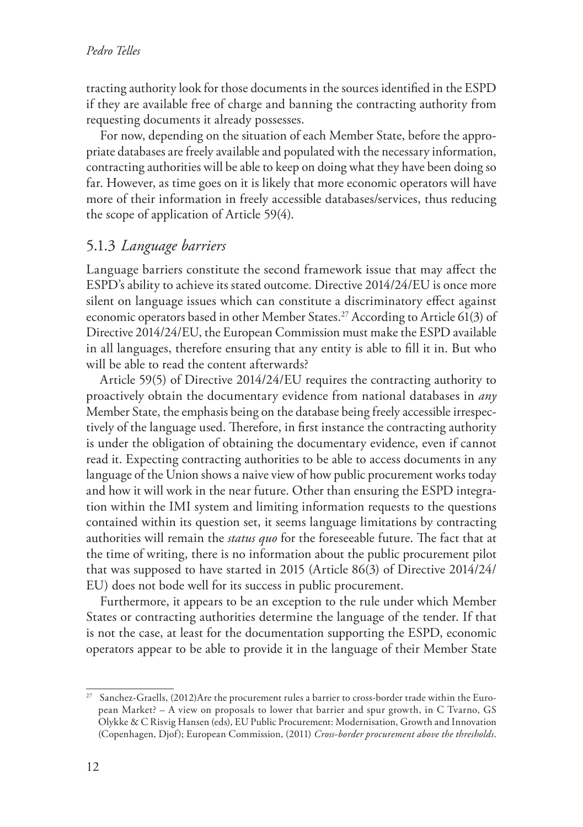tracting authority look for those documents in the sources identified in the ESPD if they are available free of charge and banning the contracting authority from requesting documents it already possesses.

For now, depending on the situation of each Member State, before the appropriate databases are freely available and populated with the necessary information, contracting authorities will be able to keep on doing what they have been doing so far. However, as time goes on it is likely that more economic operators will have more of their information in freely accessible databases/services, thus reducing the scope of application of Article 59(4).

### 5.1.3 *Language barriers*

Language barriers constitute the second framework issue that may affect the ESPD's ability to achieve its stated outcome. Directive 2014/24/EU is once more silent on language issues which can constitute a discriminatory effect against economic operators based in other Member States.27 According to Article 61(3) of Directive 2014/24/EU, the European Commission must make the ESPD available in all languages, therefore ensuring that any entity is able to fill it in. But who will be able to read the content afterwards?

Article 59(5) of Directive 2014/24/EU requires the contracting authority to proactively obtain the documentary evidence from national databases in *any* Member State, the emphasis being on the database being freely accessible irrespectively of the language used. Therefore, in first instance the contracting authority is under the obligation of obtaining the documentary evidence, even if cannot read it. Expecting contracting authorities to be able to access documents in any language of the Union shows a naive view of how public procurement works today and how it will work in the near future. Other than ensuring the ESPD integration within the IMI system and limiting information requests to the questions contained within its question set, it seems language limitations by contracting authorities will remain the *status quo* for the foreseeable future. The fact that at the time of writing, there is no information about the public procurement pilot that was supposed to have started in 2015 (Article 86(3) of Directive 2014/24/ EU) does not bode well for its success in public procurement.

Furthermore, it appears to be an exception to the rule under which Member States or contracting authorities determine the language of the tender. If that is not the case, at least for the documentation supporting the ESPD, economic operators appear to be able to provide it in the language of their Member State

<sup>&</sup>lt;sup>27</sup> Sanchez-Graells, (2012)Are the procurement rules a barrier to cross-border trade within the European Market? – A view on proposals to lower that barrier and spur growth, in C Tvarno, GS Olykke & C Risvig Hansen (eds), EU Public Procurement: Modernisation, Growth and Innovation (Copenhagen, Djof); European Commission, (2011) *Cross-border procurement above the thresholds*.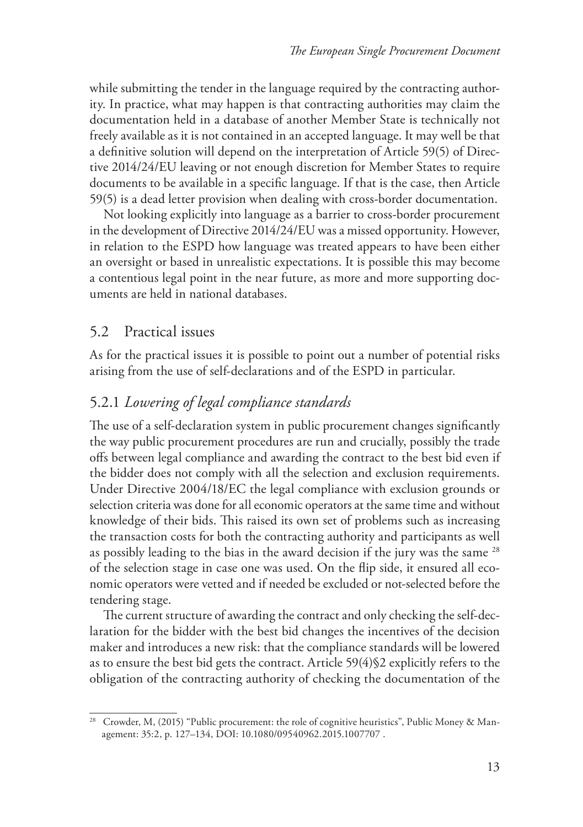while submitting the tender in the language required by the contracting authority. In practice, what may happen is that contracting authorities may claim the documentation held in a database of another Member State is technically not freely available as it is not contained in an accepted language. It may well be that a definitive solution will depend on the interpretation of Article 59(5) of Directive 2014/24/EU leaving or not enough discretion for Member States to require documents to be available in a specific language. If that is the case, then Article 59(5) is a dead letter provision when dealing with cross-border documentation.

Not looking explicitly into language as a barrier to cross-border procurement in the development of Directive 2014/24/EU was a missed opportunity. However, in relation to the ESPD how language was treated appears to have been either an oversight or based in unrealistic expectations. It is possible this may become a contentious legal point in the near future, as more and more supporting documents are held in national databases.

#### 5.2 Practical issues

As for the practical issues it is possible to point out a number of potential risks arising from the use of self-declarations and of the ESPD in particular.

### 5.2.1 *Lowering of legal compliance standards*

The use of a self-declaration system in public procurement changes significantly the way public procurement procedures are run and crucially, possibly the trade offs between legal compliance and awarding the contract to the best bid even if the bidder does not comply with all the selection and exclusion requirements. Under Directive 2004/18/EC the legal compliance with exclusion grounds or selection criteria was done for all economic operators at the same time and without knowledge of their bids. This raised its own set of problems such as increasing the transaction costs for both the contracting authority and participants as well as possibly leading to the bias in the award decision if the jury was the same <sup>28</sup> of the selection stage in case one was used. On the flip side, it ensured all economic operators were vetted and if needed be excluded or not-selected before the tendering stage.

The current structure of awarding the contract and only checking the self-declaration for the bidder with the best bid changes the incentives of the decision maker and introduces a new risk: that the compliance standards will be lowered as to ensure the best bid gets the contract. Article 59(4)§2 explicitly refers to the obligation of the contracting authority of checking the documentation of the

<sup>&</sup>lt;sup>28</sup> Crowder, M, (2015) "Public procurement: the role of cognitive heuristics", Public Money & Management: 35:2, p. 127–134, DOI: 10.1080/09540962.2015.1007707 .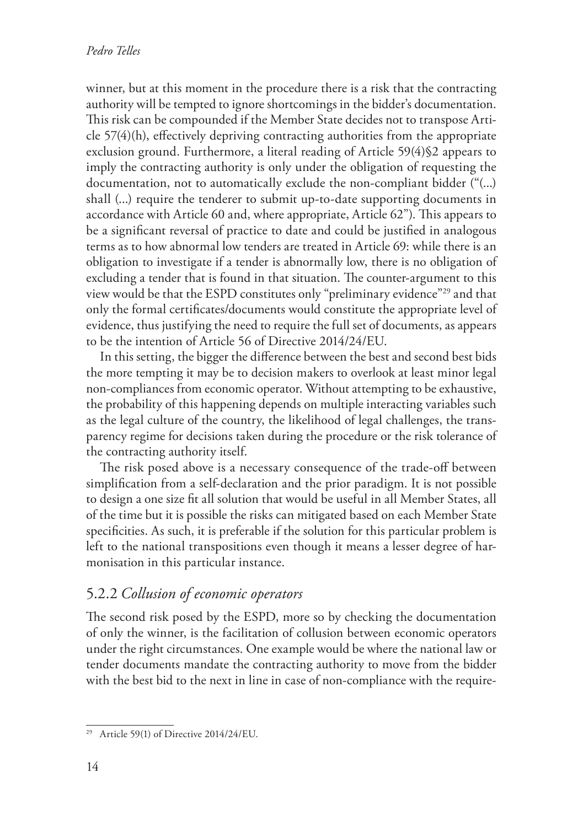winner, but at this moment in the procedure there is a risk that the contracting authority will be tempted to ignore shortcomings in the bidder's documentation. This risk can be compounded if the Member State decides not to transpose Article 57(4)(h), effectively depriving contracting authorities from the appropriate exclusion ground. Furthermore, a literal reading of Article 59(4)§2 appears to imply the contracting authority is only under the obligation of requesting the documentation, not to automatically exclude the non-compliant bidder ("(...) shall (...) require the tenderer to submit up-to-date supporting documents in accordance with Article 60 and, where appropriate, Article 62"). This appears to be a significant reversal of practice to date and could be justified in analogous terms as to how abnormal low tenders are treated in Article 69: while there is an obligation to investigate if a tender is abnormally low, there is no obligation of excluding a tender that is found in that situation. The counter-argument to this view would be that the ESPD constitutes only "preliminary evidence"29 and that only the formal certificates/documents would constitute the appropriate level of evidence, thus justifying the need to require the full set of documents, as appears to be the intention of Article 56 of Directive 2014/24/EU.

In this setting, the bigger the difference between the best and second best bids the more tempting it may be to decision makers to overlook at least minor legal non-compliances from economic operator. Without attempting to be exhaustive, the probability of this happening depends on multiple interacting variables such as the legal culture of the country, the likelihood of legal challenges, the transparency regime for decisions taken during the procedure or the risk tolerance of the contracting authority itself.

The risk posed above is a necessary consequence of the trade-off between simplification from a self-declaration and the prior paradigm. It is not possible to design a one size fit all solution that would be useful in all Member States, all of the time but it is possible the risks can mitigated based on each Member State specificities. As such, it is preferable if the solution for this particular problem is left to the national transpositions even though it means a lesser degree of harmonisation in this particular instance.

#### 5.2.2 *Collusion of economic operators*

The second risk posed by the ESPD, more so by checking the documentation of only the winner, is the facilitation of collusion between economic operators under the right circumstances. One example would be where the national law or tender documents mandate the contracting authority to move from the bidder with the best bid to the next in line in case of non-compliance with the require-

<sup>29</sup> Article 59(1) of Directive 2014/24/EU.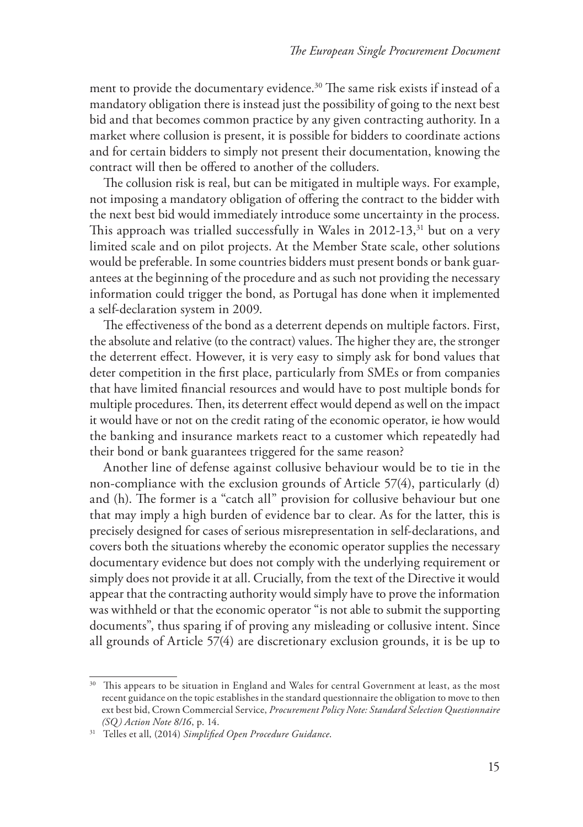ment to provide the documentary evidence.<sup>30</sup> The same risk exists if instead of a mandatory obligation there is instead just the possibility of going to the next best bid and that becomes common practice by any given contracting authority. In a market where collusion is present, it is possible for bidders to coordinate actions and for certain bidders to simply not present their documentation, knowing the contract will then be offered to another of the colluders.

The collusion risk is real, but can be mitigated in multiple ways. For example, not imposing a mandatory obligation of offering the contract to the bidder with the next best bid would immediately introduce some uncertainty in the process. This approach was trialled successfully in Wales in  $2012-13$ ,<sup>31</sup> but on a very limited scale and on pilot projects. At the Member State scale, other solutions would be preferable. In some countries bidders must present bonds or bank guarantees at the beginning of the procedure and as such not providing the necessary information could trigger the bond, as Portugal has done when it implemented a self-declaration system in 2009.

The effectiveness of the bond as a deterrent depends on multiple factors. First, the absolute and relative (to the contract) values. The higher they are, the stronger the deterrent effect. However, it is very easy to simply ask for bond values that deter competition in the first place, particularly from SMEs or from companies that have limited financial resources and would have to post multiple bonds for multiple procedures. Then, its deterrent effect would depend as well on the impact it would have or not on the credit rating of the economic operator, ie how would the banking and insurance markets react to a customer which repeatedly had their bond or bank guarantees triggered for the same reason?

Another line of defense against collusive behaviour would be to tie in the non-compliance with the exclusion grounds of Article 57(4), particularly (d) and (h). The former is a "catch all" provision for collusive behaviour but one that may imply a high burden of evidence bar to clear. As for the latter, this is precisely designed for cases of serious misrepresentation in self-declarations, and covers both the situations whereby the economic operator supplies the necessary documentary evidence but does not comply with the underlying requirement or simply does not provide it at all. Crucially, from the text of the Directive it would appear that the contracting authority would simply have to prove the information was withheld or that the economic operator "is not able to submit the supporting documents", thus sparing if of proving any misleading or collusive intent. Since all grounds of Article 57(4) are discretionary exclusion grounds, it is be up to

<sup>&</sup>lt;sup>30</sup> This appears to be situation in England and Wales for central Government at least, as the most recent guidance on the topic establishes in the standard questionnaire the obligation to move to then ext best bid, Crown Commercial Service, *Procurement Policy Note: Standard Selection Questionnaire (SQ) Action Note 8/16*, p. 14.

<sup>31</sup> Telles et all, (2014) *Simplified Open Procedure Guidance*.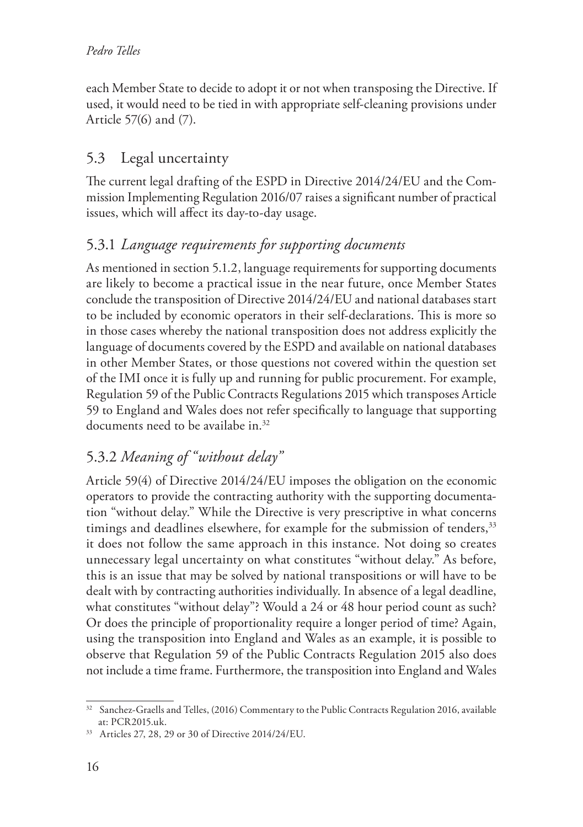each Member State to decide to adopt it or not when transposing the Directive. If used, it would need to be tied in with appropriate self-cleaning provisions under Article 57(6) and (7).

## 5.3 Legal uncertainty

The current legal drafting of the ESPD in Directive 2014/24/EU and the Commission Implementing Regulation 2016/07 raises a significant number of practical issues, which will affect its day-to-day usage.

## 5.3.1 *Language requirements for supporting documents*

As mentioned in section 5.1.2, language requirements for supporting documents are likely to become a practical issue in the near future, once Member States conclude the transposition of Directive 2014/24/EU and national databases start to be included by economic operators in their self-declarations. This is more so in those cases whereby the national transposition does not address explicitly the language of documents covered by the ESPD and available on national databases in other Member States, or those questions not covered within the question set of the IMI once it is fully up and running for public procurement. For example, Regulation 59 of the Public Contracts Regulations 2015 which transposes Article 59 to England and Wales does not refer specifically to language that supporting documents need to be availabe in.<sup>32</sup>

## 5.3.2 *Meaning of "without delay"*

Article 59(4) of Directive 2014/24/EU imposes the obligation on the economic operators to provide the contracting authority with the supporting documentation "without delay." While the Directive is very prescriptive in what concerns timings and deadlines elsewhere, for example for the submission of tenders,<sup>33</sup> it does not follow the same approach in this instance. Not doing so creates unnecessary legal uncertainty on what constitutes "without delay." As before, this is an issue that may be solved by national transpositions or will have to be dealt with by contracting authorities individually. In absence of a legal deadline, what constitutes "without delay"? Would a 24 or 48 hour period count as such? Or does the principle of proportionality require a longer period of time? Again, using the transposition into England and Wales as an example, it is possible to observe that Regulation 59 of the Public Contracts Regulation 2015 also does not include a time frame. Furthermore, the transposition into England and Wales

<sup>&</sup>lt;sup>32</sup> Sanchez-Graells and Telles, (2016) Commentary to the Public Contracts Regulation 2016, available at: PCR2015.uk.

<sup>33</sup> Articles 27, 28, 29 or 30 of Directive 2014/24/EU.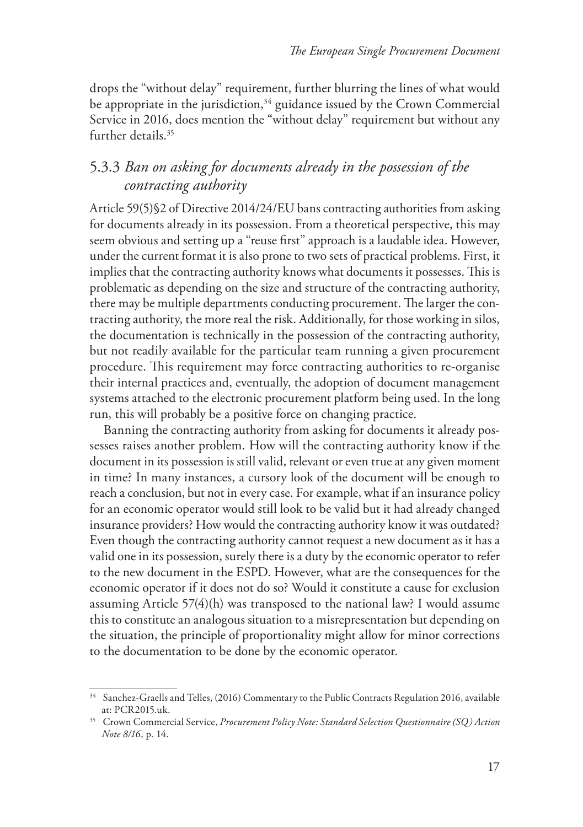drops the "without delay" requirement, further blurring the lines of what would be appropriate in the jurisdiction, $34$  guidance issued by the Crown Commercial Service in 2016, does mention the "without delay" requirement but without any further details.<sup>35</sup>

## 5.3.3 *Ban on asking for documents already in the possession of the contracting authority*

Article 59(5)§2 of Directive 2014/24/EU bans contracting authorities from asking for documents already in its possession. From a theoretical perspective, this may seem obvious and setting up a "reuse first" approach is a laudable idea. However, under the current format it is also prone to two sets of practical problems. First, it implies that the contracting authority knows what documents it possesses. This is problematic as depending on the size and structure of the contracting authority, there may be multiple departments conducting procurement. The larger the contracting authority, the more real the risk. Additionally, for those working in silos, the documentation is technically in the possession of the contracting authority, but not readily available for the particular team running a given procurement procedure. This requirement may force contracting authorities to re-organise their internal practices and, eventually, the adoption of document management systems attached to the electronic procurement platform being used. In the long run, this will probably be a positive force on changing practice.

Banning the contracting authority from asking for documents it already possesses raises another problem. How will the contracting authority know if the document in its possession is still valid, relevant or even true at any given moment in time? In many instances, a cursory look of the document will be enough to reach a conclusion, but not in every case. For example, what if an insurance policy for an economic operator would still look to be valid but it had already changed insurance providers? How would the contracting authority know it was outdated? Even though the contracting authority cannot request a new document as it has a valid one in its possession, surely there is a duty by the economic operator to refer to the new document in the ESPD. However, what are the consequences for the economic operator if it does not do so? Would it constitute a cause for exclusion assuming Article 57(4)(h) was transposed to the national law? I would assume this to constitute an analogous situation to a misrepresentation but depending on the situation, the principle of proportionality might allow for minor corrections to the documentation to be done by the economic operator.

<sup>34</sup> Sanchez-Graells and Telles, (2016) Commentary to the Public Contracts Regulation 2016, available at: PCR2015.uk.

<sup>35</sup> Crown Commercial Service, *Procurement Policy Note: Standard Selection Questionnaire (SQ) Action Note 8/16*, p. 14.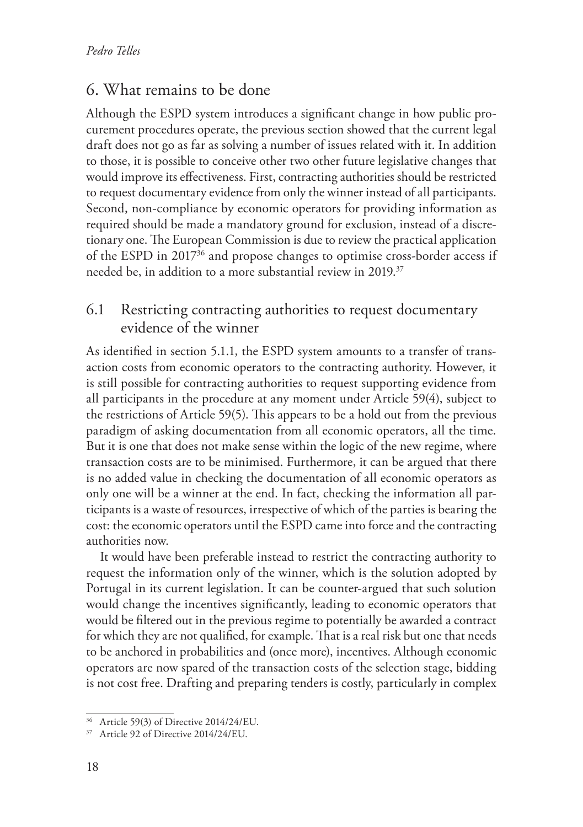## 6. What remains to be done

Although the ESPD system introduces a significant change in how public procurement procedures operate, the previous section showed that the current legal draft does not go as far as solving a number of issues related with it. In addition to those, it is possible to conceive other two other future legislative changes that would improve its effectiveness. First, contracting authorities should be restricted to request documentary evidence from only the winner instead of all participants. Second, non-compliance by economic operators for providing information as required should be made a mandatory ground for exclusion, instead of a discretionary one. The European Commission is due to review the practical application of the ESPD in 201736 and propose changes to optimise cross-border access if needed be, in addition to a more substantial review in 2019.<sup>37</sup>

## 6.1 Restricting contracting authorities to request documentary evidence of the winner

As identified in section 5.1.1, the ESPD system amounts to a transfer of transaction costs from economic operators to the contracting authority. However, it is still possible for contracting authorities to request supporting evidence from all participants in the procedure at any moment under Article 59(4), subject to the restrictions of Article 59(5). This appears to be a hold out from the previous paradigm of asking documentation from all economic operators, all the time. But it is one that does not make sense within the logic of the new regime, where transaction costs are to be minimised. Furthermore, it can be argued that there is no added value in checking the documentation of all economic operators as only one will be a winner at the end. In fact, checking the information all participants is a waste of resources, irrespective of which of the parties is bearing the cost: the economic operators until the ESPD came into force and the contracting authorities now.

It would have been preferable instead to restrict the contracting authority to request the information only of the winner, which is the solution adopted by Portugal in its current legislation. It can be counter-argued that such solution would change the incentives significantly, leading to economic operators that would be filtered out in the previous regime to potentially be awarded a contract for which they are not qualified, for example. That is a real risk but one that needs to be anchored in probabilities and (once more), incentives. Although economic operators are now spared of the transaction costs of the selection stage, bidding is not cost free. Drafting and preparing tenders is costly, particularly in complex

<sup>36</sup> Article 59(3) of Directive 2014/24/EU.

<sup>37</sup> Article 92 of Directive 2014/24/EU.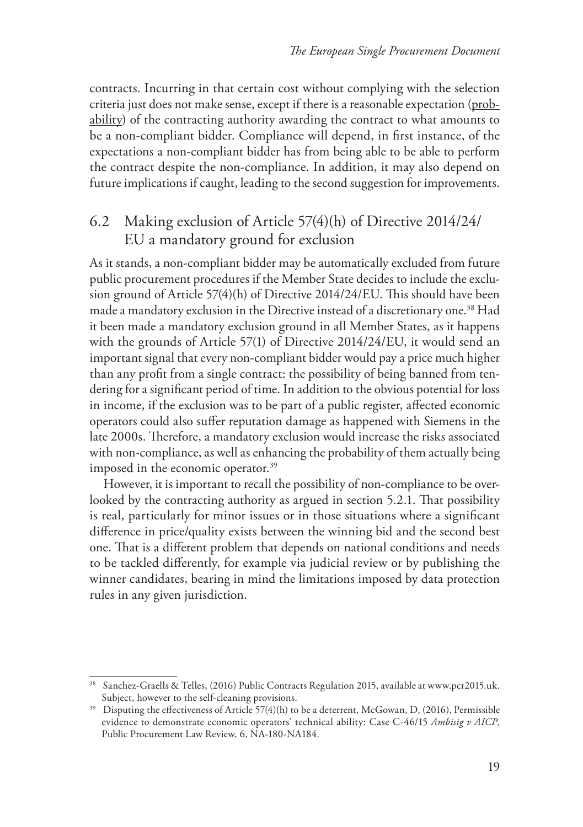contracts. Incurring in that certain cost without complying with the selection criteria just does not make sense, except if there is a reasonable expectation (probability) of the contracting authority awarding the contract to what amounts to be a non-compliant bidder. Compliance will depend, in first instance, of the expectations a non-compliant bidder has from being able to be able to perform the contract despite the non-compliance. In addition, it may also depend on future implications if caught, leading to the second suggestion for improvements.

## 6.2 Making exclusion of Article 57(4)(h) of Directive 2014/24/ EU a mandatory ground for exclusion

As it stands, a non-compliant bidder may be automatically excluded from future public procurement procedures if the Member State decides to include the exclusion ground of Article 57(4)(h) of Directive 2014/24/EU. This should have been made a mandatory exclusion in the Directive instead of a discretionary one.<sup>38</sup> Had it been made a mandatory exclusion ground in all Member States, as it happens with the grounds of Article 57(1) of Directive 2014/24/EU, it would send an important signal that every non-compliant bidder would pay a price much higher than any profit from a single contract: the possibility of being banned from tendering for a significant period of time. In addition to the obvious potential for loss in income, if the exclusion was to be part of a public register, affected economic operators could also suffer reputation damage as happened with Siemens in the late 2000s. Therefore, a mandatory exclusion would increase the risks associated with non-compliance, as well as enhancing the probability of them actually being imposed in the economic operator.<sup>39</sup>

However, it is important to recall the possibility of non-compliance to be overlooked by the contracting authority as argued in section 5.2.1. That possibility is real, particularly for minor issues or in those situations where a significant difference in price/quality exists between the winning bid and the second best one. That is a different problem that depends on national conditions and needs to be tackled differently, for example via judicial review or by publishing the winner candidates, bearing in mind the limitations imposed by data protection rules in any given jurisdiction.

<sup>38</sup> Sanchez-Graells & Telles, (2016) Public Contracts Regulation 2015, available at www.pcr2015.uk. Subject, however to the self-cleaning provisions.

<sup>&</sup>lt;sup>39</sup> Disputing the effectiveness of Article 57(4)(h) to be a deterrent, McGowan, D, (2016), Permissible evidence to demonstrate economic operators' technical ability: Case C-46/15 *Ambisig v AICP,*  Public Procurement Law Review, 6, NA-180-NA184.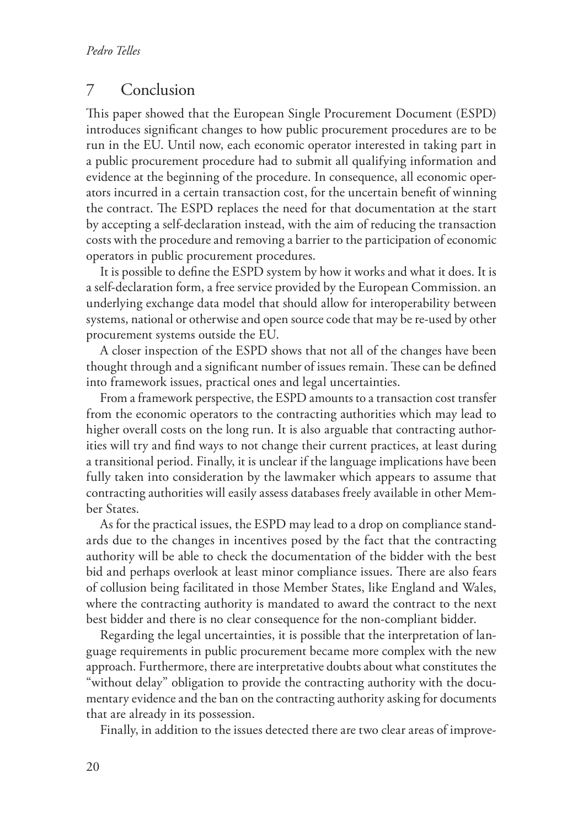#### 7 Conclusion

This paper showed that the European Single Procurement Document (ESPD) introduces significant changes to how public procurement procedures are to be run in the EU. Until now, each economic operator interested in taking part in a public procurement procedure had to submit all qualifying information and evidence at the beginning of the procedure. In consequence, all economic operators incurred in a certain transaction cost, for the uncertain benefit of winning the contract. The ESPD replaces the need for that documentation at the start by accepting a self-declaration instead, with the aim of reducing the transaction costs with the procedure and removing a barrier to the participation of economic operators in public procurement procedures.

It is possible to define the ESPD system by how it works and what it does. It is a self-declaration form, a free service provided by the European Commission. an underlying exchange data model that should allow for interoperability between systems, national or otherwise and open source code that may be re-used by other procurement systems outside the EU.

A closer inspection of the ESPD shows that not all of the changes have been thought through and a significant number of issues remain. These can be defined into framework issues, practical ones and legal uncertainties.

From a framework perspective, the ESPD amounts to a transaction cost transfer from the economic operators to the contracting authorities which may lead to higher overall costs on the long run. It is also arguable that contracting authorities will try and find ways to not change their current practices, at least during a transitional period. Finally, it is unclear if the language implications have been fully taken into consideration by the lawmaker which appears to assume that contracting authorities will easily assess databases freely available in other Member States.

As for the practical issues, the ESPD may lead to a drop on compliance standards due to the changes in incentives posed by the fact that the contracting authority will be able to check the documentation of the bidder with the best bid and perhaps overlook at least minor compliance issues. There are also fears of collusion being facilitated in those Member States, like England and Wales, where the contracting authority is mandated to award the contract to the next best bidder and there is no clear consequence for the non-compliant bidder.

Regarding the legal uncertainties, it is possible that the interpretation of language requirements in public procurement became more complex with the new approach. Furthermore, there are interpretative doubts about what constitutes the "without delay" obligation to provide the contracting authority with the documentary evidence and the ban on the contracting authority asking for documents that are already in its possession.

Finally, in addition to the issues detected there are two clear areas of improve-